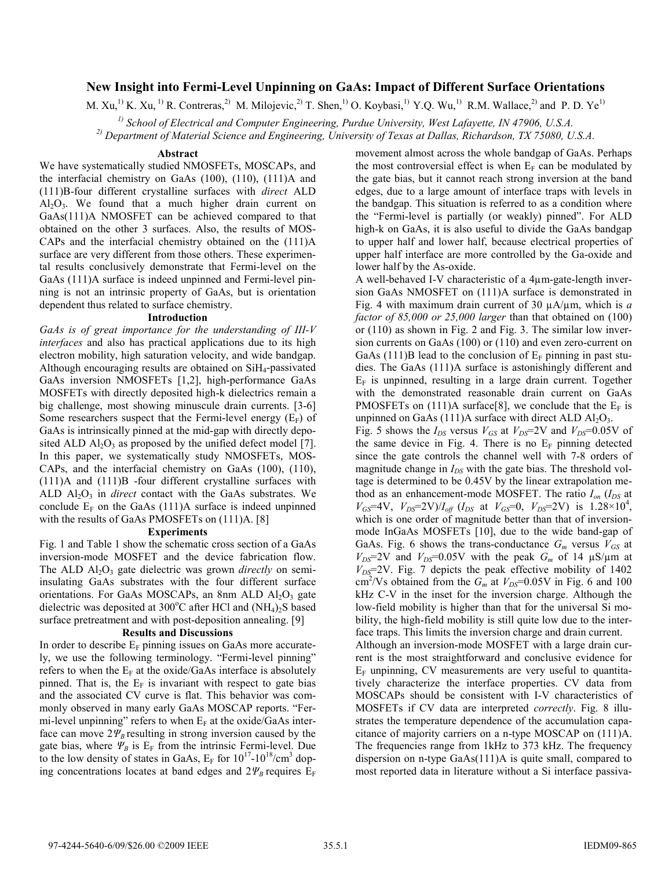# **New Insight into Fermi-Level Unpinning on GaAs: Impact of Different Surface Orientations**

M. Xu,<sup>1)</sup> K. Xu,<sup>1)</sup> R. Contreras,<sup>2)</sup> M. Milojevic,<sup>2)</sup> T. Shen,<sup>1</sup>) O. Koybasi,<sup>1)</sup> Y.Q. Wu,<sup>1)</sup> R.M. Wallace,<sup>2)</sup> and P. D. Ye<sup>1)</sup>

 *1) School of Electrical and Computer Engineering, Purdue University, West Lafayette, IN 47906, U.S.A. 2) Department of Material Science and Engineering, University of Texas at Dallas, Richardson, TX 75080, U.S.A.*

#### **Abstract**

We have systematically studied NMOSFETs, MOSCAPs, and the interfacial chemistry on GaAs (100), (110), (111)A and (111)B-four different crystalline surfaces with *direct* ALD  $Al_2O_3$ . We found that a much higher drain current on GaAs(111)A NMOSFET can be achieved compared to that obtained on the other 3 surfaces. Also, the results of MOS-CAPs and the interfacial chemistry obtained on the (111)A surface are very different from those others. These experimental results conclusively demonstrate that Fermi-level on the GaAs (111)A surface is indeed unpinned and Fermi-level pinning is not an intrinsic property of GaAs, but is orientation dependent thus related to surface chemistry.

#### **Introduction**

*GaAs is of great importance for the understanding of III-V interfaces* and also has practical applications due to its high electron mobility, high saturation velocity, and wide bandgap. Although encouraging results are obtained on SiH4-passivated GaAs inversion NMOSFETs [1,2], high-performance GaAs MOSFETs with directly deposited high-k dielectrics remain a big challenge, most showing minuscule drain currents. [3-6] Some researchers suspect that the Fermi-level energy  $(E_F)$  of GaAs is intrinsically pinned at the mid-gap with directly deposited ALD  $\text{Al}_2\text{O}_3$  as proposed by the unified defect model [7]. In this paper, we systematically study NMOSFETs, MOS-CAPs, and the interfacial chemistry on GaAs (100), (110), (111)A and (111)B -four different crystalline surfaces with ALD  $Al_2O_3$  in *direct* contact with the GaAs substrates. We conclude  $E_F$  on the GaAs (111)A surface is indeed unpinned with the results of GaAs PMOSFETs on (111)A. [8]

#### **Experiments**

Fig. 1 and Table 1 show the schematic cross section of a GaAs inversion-mode MOSFET and the device fabrication flow. The ALD Al<sub>2</sub>O<sub>3</sub> gate dielectric was grown *directly* on semiinsulating GaAs substrates with the four different surface orientations. For GaAs MOSCAPs, an 8nm ALD  $Al_2O_3$  gate dielectric was deposited at  $300^{\circ}$ C after HCl and (NH<sub>4</sub>)<sub>2</sub>S based surface pretreatment and with post-deposition annealing. [9]

## **Results and Discussions**

In order to describe  $E_F$  pinning issues on GaAs more accurately, we use the following terminology. "Fermi-level pinning" refers to when the  $E_F$  at the oxide/GaAs interface is absolutely pinned. That is, the  $E_F$  is invariant with respect to gate bias and the associated CV curve is flat. This behavior was commonly observed in many early GaAs MOSCAP reports. "Fermi-level unpinning" refers to when  $E_F$  at the oxide/GaAs interface can move  $2\Psi_B$  resulting in strong inversion caused by the gate bias, where  $\Psi_B$  is  $E_F$  from the intrinsic Fermi-level. Due to the low density of states in GaAs,  $E_F$  for  $10^{17}$ - $10^{18}/\text{cm}^3$  doping concentrations locates at band edges and  $2\Psi_B$  requires  $E_F$ 

movement almost across the whole bandgap of GaAs. Perhaps the most controversial effect is when  $E_F$  can be modulated by the gate bias, but it cannot reach strong inversion at the band edges, due to a large amount of interface traps with levels in the bandgap. This situation is referred to as a condition where the "Fermi-level is partially (or weakly) pinned". For ALD high-k on GaAs, it is also useful to divide the GaAs bandgap to upper half and lower half, because electrical properties of upper half interface are more controlled by the Ga-oxide and lower half by the As-oxide.

A well-behaved I-V characteristic of a 4μm-gate-length inversion GaAs NMOSFET on (111)A surface is demonstrated in Fig. 4 with maximum drain current of 30 μA/μm, which is *a factor of 85,000 or 25,000 larger* than that obtained on (100) or (110) as shown in Fig. 2 and Fig. 3. The similar low inversion currents on GaAs (100) or (110) and even zero-current on GaAs (111)B lead to the conclusion of  $E_F$  pinning in past studies. The GaAs (111)A surface is astonishingly different and  $E_F$  is unpinned, resulting in a large drain current. Together with the demonstrated reasonable drain current on GaAs PMOSFETs on (111)A surface[8], we conclude that the  $E_F$  is unpinned on GaAs  $(111)$ A surface with direct ALD Al<sub>2</sub>O<sub>3</sub>.

Fig. 5 shows the  $I_{DS}$  versus  $V_{GS}$  at  $V_{DS}$ =2V and  $V_{DS}$ =0.05V of the same device in Fig. 4. There is no  $E_F$  pinning detected since the gate controls the channel well with 7-8 orders of magnitude change in  $I_{DS}$  with the gate bias. The threshold voltage is determined to be 0.45V by the linear extrapolation method as an enhancement-mode MOSFET. The ratio  $I_{on}$  ( $I_{DS}$  at  $V_{GS}$ =4V,  $V_{DS}$ =2V)/ $I_{off}$  ( $I_{DS}$  at  $V_{GS}$ =0,  $V_{DS}$ =2V) is 1.28×10<sup>4</sup>, which is one order of magnitude better than that of inversionmode InGaAs MOSFETs [10], due to the wide band-gap of GaAs. Fig. 6 shows the trans-conductance  $G_m$  versus  $V_{GS}$  at  $V_{DS}$ =2V and  $V_{DS}$ =0.05V with the peak  $G_m$  of 14  $\mu$ S/ $\mu$ m at  $V_{DS}=2V$ . Fig. 7 depicts the peak effective mobility of 1402  $\text{cm}^2/\text{Vs}$  obtained from the  $G_m$  at  $V_{DS}=0.05\text{V}$  in Fig. 6 and 100 kHz C-V in the inset for the inversion charge. Although the low-field mobility is higher than that for the universal Si mobility, the high-field mobility is still quite low due to the interface traps. This limits the inversion charge and drain current.

Although an inversion-mode MOSFET with a large drain current is the most straightforward and conclusive evidence for  $E_F$  unpinning, CV measurements are very useful to quantitatively characterize the interface properties. CV data from MOSCAPs should be consistent with I-V characteristics of MOSFETs if CV data are interpreted *correctly*. Fig. 8 illustrates the temperature dependence of the accumulation capacitance of majority carriers on a n-type MOSCAP on (111)A. The frequencies range from 1kHz to 373 kHz. The frequency dispersion on n-type GaAs(111)A is quite small, compared to most reported data in literature without a Si interface passiva-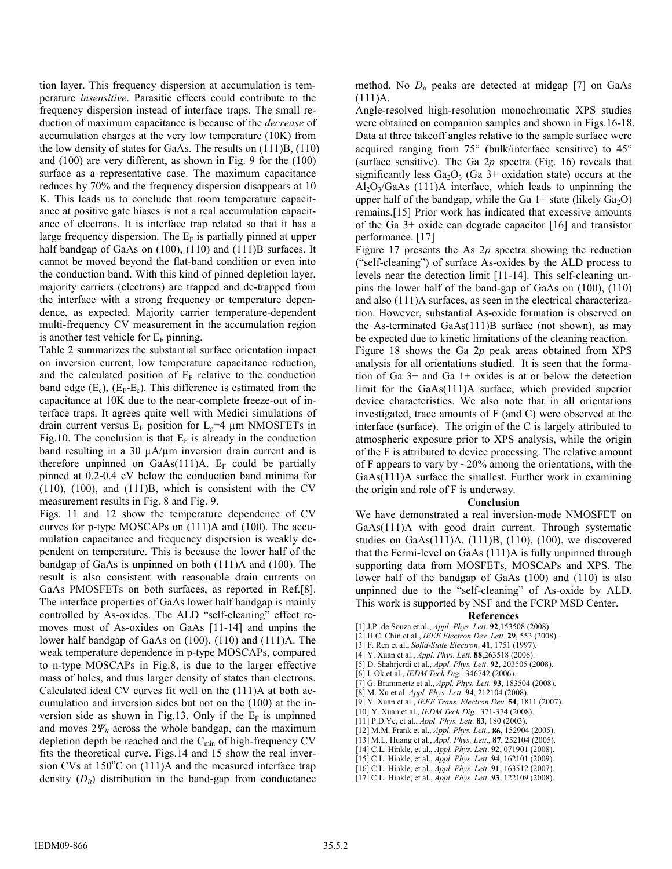tion layer. This frequency dispersion at accumulation is temperature *insensitive*. Parasitic effects could contribute to the frequency dispersion instead of interface traps. The small reduction of maximum capacitance is because of the *decrease* of accumulation charges at the very low temperature (10K) from the low density of states for GaAs. The results on (111)B, (110) and (100) are very different, as shown in Fig. 9 for the (100) surface as a representative case. The maximum capacitance reduces by 70% and the frequency dispersion disappears at 10 K. This leads us to conclude that room temperature capacitance at positive gate biases is not a real accumulation capacitance of electrons. It is interface trap related so that it has a large frequency dispersion. The  $E_F$  is partially pinned at upper half bandgap of GaAs on (100), (110) and (111)B surfaces. It cannot be moved beyond the flat-band condition or even into the conduction band. With this kind of pinned depletion layer, majority carriers (electrons) are trapped and de-trapped from the interface with a strong frequency or temperature dependence, as expected. Majority carrier temperature-dependent multi-frequency CV measurement in the accumulation region is another test vehicle for  $E_F$  pinning.

Table 2 summarizes the substantial surface orientation impact on inversion current, low temperature capacitance reduction, and the calculated position of  $E_F$  relative to the conduction band edge  $(E_c)$ ,  $(E_F-E_c)$ . This difference is estimated from the capacitance at 10K due to the near-complete freeze-out of interface traps. It agrees quite well with Medici simulations of drain current versus  $E_F$  position for  $L_g=4 \mu m$  NMOSFETs in Fig.10. The conclusion is that  $E_F$  is already in the conduction band resulting in a 30  $\mu$ A/ $\mu$ m inversion drain current and is therefore unpinned on GaAs(111)A.  $E_F$  could be partially pinned at 0.2-0.4 eV below the conduction band minima for (110), (100), and (111)B, which is consistent with the CV measurement results in Fig. 8 and Fig. 9.

Figs. 11 and 12 show the temperature dependence of CV curves for p-type MOSCAPs on (111)A and (100). The accumulation capacitance and frequency dispersion is weakly dependent on temperature. This is because the lower half of the bandgap of GaAs is unpinned on both (111)A and (100). The result is also consistent with reasonable drain currents on GaAs PMOSFETs on both surfaces, as reported in Ref.[8]. The interface properties of GaAs lower half bandgap is mainly controlled by As-oxides. The ALD "self-cleaning" effect removes most of As-oxides on GaAs [11-14] and unpins the lower half bandgap of GaAs on (100), (110) and (111)A. The weak temperature dependence in p-type MOSCAPs, compared to n-type MOSCAPs in Fig.8, is due to the larger effective mass of holes, and thus larger density of states than electrons. Calculated ideal CV curves fit well on the (111)A at both accumulation and inversion sides but not on the (100) at the inversion side as shown in Fig.13. Only if the  $E_F$  is unpinned and moves  $2\Psi_B$  across the whole bandgap, can the maximum depletion depth be reached and the  $C_{min}$  of high-frequency CV fits the theoretical curve. Figs.14 and 15 show the real inversion CVs at  $150^{\circ}$ C on  $(111)$ A and the measured interface trap density  $(D_{ii})$  distribution in the band-gap from conductance

method. No  $D_{it}$  peaks are detected at midgap [7] on GaAs  $(111)A$ .

Angle-resolved high-resolution monochromatic XPS studies were obtained on companion samples and shown in Figs.16-18. Data at three takeoff angles relative to the sample surface were acquired ranging from 75° (bulk/interface sensitive) to 45° (surface sensitive). The Ga 2*p* spectra (Fig. 16) reveals that significantly less  $Ga<sub>2</sub>O<sub>3</sub>$  (Ga 3+ oxidation state) occurs at the  $Al_2O_3/GaAs$  (111)A interface, which leads to unpinning the upper half of the bandgap, while the Ga  $1+$  state (likely Ga<sub>2</sub>O) remains.[15] Prior work has indicated that excessive amounts of the Ga 3+ oxide can degrade capacitor [16] and transistor performance. [17]

Figure 17 presents the As 2*p* spectra showing the reduction ("self-cleaning") of surface As-oxides by the ALD process to levels near the detection limit [11-14]. This self-cleaning unpins the lower half of the band-gap of GaAs on (100), (110) and also (111)A surfaces, as seen in the electrical characterization. However, substantial As-oxide formation is observed on the As-terminated GaAs(111)B surface (not shown), as may be expected due to kinetic limitations of the cleaning reaction. Figure 18 shows the Ga 2*p* peak areas obtained from XPS analysis for all orientations studied. It is seen that the formation of Ga 3+ and Ga 1+ oxides is at or below the detection limit for the GaAs(111)A surface, which provided superior device characteristics. We also note that in all orientations investigated, trace amounts of F (and C) were observed at the interface (surface). The origin of the C is largely attributed to atmospheric exposure prior to XPS analysis, while the origin of the F is attributed to device processing. The relative amount of F appears to vary by  $\sim$  20% among the orientations, with the GaAs(111)A surface the smallest. Further work in examining the origin and role of F is underway.

# **Conclusion**

We have demonstrated a real inversion-mode NMOSFET on GaAs(111)A with good drain current. Through systematic studies on GaAs(111)A, (111)B, (110), (100), we discovered that the Fermi-level on GaAs (111)A is fully unpinned through supporting data from MOSFETs, MOSCAPs and XPS. The lower half of the bandgap of GaAs (100) and (110) is also unpinned due to the "self-cleaning" of As-oxide by ALD. This work is supported by NSF and the FCRP MSD Center.

## **References**

[1] J.P. de Souza et al., *Appl. Phys. Lett.* **92**,153508 (2008). [2] H.C. Chin et al., *IEEE Electron Dev. Lett.* **29**, 553 (2008). [3] F. Ren et al., *Solid-State Electron*. **41**, 1751 (1997). [4] Y. Xuan et al., *Appl. Phys. Lett.* **88**,263518 (2006). [5] D. Shahrjerdi et al., *Appl. Phys. Lett.* **92**, 203505 (2008). [6] I. Ok et al., *IEDM Tech Dig.,* 346742 (2006). [7] G. Brammertz et al., *Appl. Phys. Lett.* **93**, 183504 (2008). [8] M. Xu et al. *Appl. Phys. Lett.* **94**, 212104 (2008). [9] Y. Xuan et al., *IEEE Trans. Electron Dev.* **54**, 1811 (2007). [10] Y. Xuan et al., *IEDM Tech Dig.,* 371-374 (2008). [11] P.D.Ye, et al., *Appl. Phys. Lett.* **83**, 180 (2003). [12] M.M. Frank et al., *Appl. Phys. Lett.,* **86**, 152904 (2005). [13] M.L. Huang et al., *Appl. Phys. Lett*., **87**, 252104 (2005). [14] C.L. Hinkle, et al., *Appl. Phys. Lett*. **92**, 071901 (2008). [15] C.L. Hinkle, et al., *Appl. Phys. Lett*. **94**, 162101 (2009). [16] C.L. Hinkle, et al., *Appl. Phys. Lett*. **91**, 163512 (2007). [17] C.L. Hinkle, et al., *Appl. Phys. Lett*. **93**, 122109 (2008).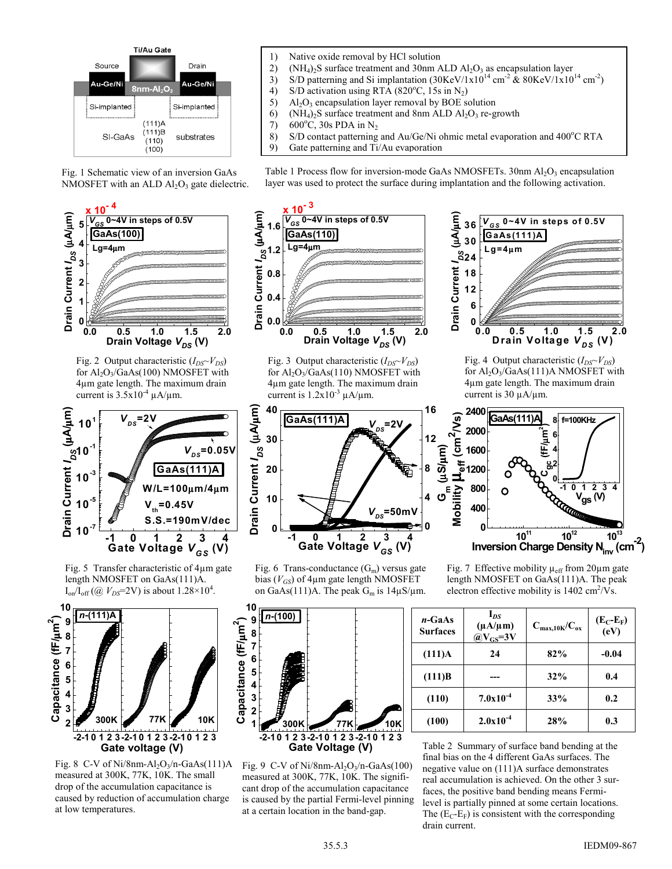

Fig. 1 Schematic view of an inversion GaAs NMOSFET with an ALD  $Al<sub>2</sub>O<sub>3</sub>$  gate dielectric.



Fig. 2 Output characteristic  $(I_{DS} \sim V_{DS})$ for  $Al_2O_3/GaAs(100)$  NMOSFET with 4μm gate length. The maximum drain current is  $3.5x10^{-4} \mu A/\mu m$ .



Fig. 5 Transfer characteristic of 4μm gate length NMOSFET on GaAs(111)A.  $I_{on}/I_{off}$  (@  $V_{DS}$ =2V) is about 1.28×10<sup>4</sup>.



Fig. 8 C-V of Ni/8nm-Al<sub>2</sub>O<sub>3</sub>/n-GaAs(111)A measured at 300K, 77K, 10K. The small drop of the accumulation capacitance is caused by reduction of accumulation charge at low temperatures.

- 1) Native oxide removal by HCl solution
- 2) (NH<sub>4</sub>)<sub>2</sub>S surface treatment and 30nm ALD  $Al_2O_3$  as encapsulation layer
- 3) S/D patterning and Si implantation  $(30 \text{KeV}/1 \text{x}10^{14} \text{ cm}^2 \text{ \& } 80 \text{KeV}/1 \text{x}10^{14} \text{ cm}^2)$
- 4) S/D activation using RTA (820°C, 15s in N<sub>2</sub>)
- 
- 5) Al<sub>2</sub>O<sub>3</sub> encapsulation layer removal by BOE solution<br>6) (NH<sub>4</sub>)<sub>2</sub>S surface treatment and 8nm ALD Al<sub>2</sub>O<sub>3</sub> re-g 6) (NH<sub>4</sub>)<sub>2</sub>S surface treatment and 8nm ALD Al<sub>2</sub>O<sub>3</sub> re-growth 7) 600<sup>o</sup>C, 30s PDA in N<sub>2</sub>
- 7) 600°C, 30s PDA in N<sub>2</sub>
- 8) S/D contact patterning and Au/Ge/Ni ohmic metal evaporation and  $400^{\circ}$ C RTA
- 9) Gate patterning and Ti/Au evaporation

Table 1 Process flow for inversion-mode GaAs NMOSFETs.  $30 \text{nm}$  Al<sub>2</sub>O<sub>3</sub> encapsulation layer was used to protect the surface during implantation and the following activation.



Fig. 3 Output characteristic  $(I_{DS} \sim V_{DS})$ for  $Al_2O_3/GaAs(110)$  NMOSFET with 4μm gate length. The maximum drain current is  $1.2x10^{-3} \mu A/\mu m$ .



Fig. 6 Trans-conductance  $(G<sub>m</sub>)$  versus gate bias  $(V_{GS})$  of 4 $\mu$ m gate length NMOSFET on GaAs(111)A. The peak  $G_m$  is  $14\mu S/\mu m$ .



Fig. 9 C-V of Ni/8nm-Al<sub>2</sub>O<sub>3</sub>/n-GaAs(100) measured at 300K, 77K, 10K. The significant drop of the accumulation capacitance is caused by the partial Fermi-level pinning at a certain location in the band-gap.



Fig. 4 Output characteristic ( $I_{DS} \sim V_{DS}$ ) for Al2O3/GaAs(111)A NMOSFET with 4μm gate length. The maximum drain current is 30 μA/μm.



Fig. 7 Effective mobility  $\mu_{\text{eff}}$  from 20 $\mu$ m gate length NMOSFET on GaAs(111)A. The peak electron effective mobility is  $1402 \text{ cm}^2/\text{V}\text{s}$ .

| $n$ -GaAs<br><b>Surfaces</b> | $I_{DS}$<br>$(\mu A/\mu m)$<br>$@V_{GS} = 3V$ | $C_{max,10K}/C_{ox}$ | $(E_C-E_F)$<br>(eV) |
|------------------------------|-----------------------------------------------|----------------------|---------------------|
| $(111)$ A                    | 24                                            | 82%                  | $-0.04$             |
| (111)B                       |                                               | 32%                  | 0.4                 |
| (110)                        | $7.0x10^{-4}$                                 | 33%                  | 0.2                 |
| (100)                        | $2.0x10^{-4}$                                 | 28%                  | 0.3                 |

Table 2 Summary of surface band bending at the final bias on the 4 different GaAs surfaces. The negative value on (111)A surface demonstrates real accumulation is achieved. On the other 3 surfaces, the positive band bending means Fermilevel is partially pinned at some certain locations. The  $(E_C-E_F)$  is consistent with the corresponding drain current.